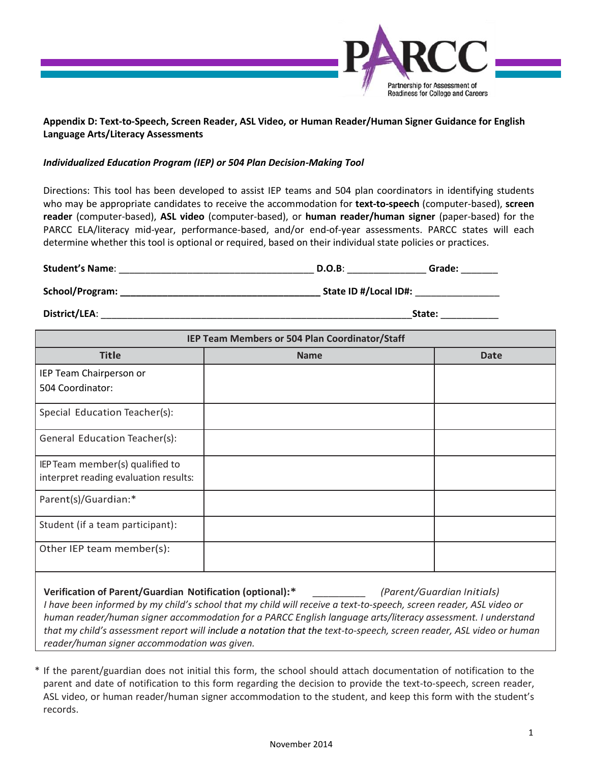

## **Appendix D: Text-to-Speech, Screen Reader, ASL Video, or Human Reader/Human Signer Guidance for English Language Arts/Literacy Assessments**

## *Individualized Education Program (IEP) or 504 Plan Decision-Making Tool*

Directions: This tool has been developed to assist IEP teams and 504 plan coordinators in identifying students who may be appropriate candidates to receive the accommodation for **text-to-speech** (computer-based), **screen reader** (computer-based), **ASL video** (computer-based), or **human reader/human signer** (paper-based) for the PARCC ELA/literacy mid-year, performance-based, and/or end-of-year assessments. PARCC states will each determine whether this tool is optional or required, based on their individual state policies or practices.

| <b>Student's Name:</b> | D.O.B                 | Grade: |
|------------------------|-----------------------|--------|
| School/Program:        | State ID #/Local ID#: |        |

**District/LEA**: \_\_\_\_\_\_\_\_\_\_\_\_\_\_\_\_\_\_\_\_\_\_\_\_\_\_\_\_\_\_\_\_\_\_\_\_\_\_\_\_\_\_\_\_\_\_\_\_\_\_\_\_\_\_\_\_\_\_\_**State:** \_\_\_\_\_\_\_\_\_\_\_

| IEP Team Members or 504 Plan Coordinator/Staff |             |             |  |  |
|------------------------------------------------|-------------|-------------|--|--|
| <b>Title</b>                                   | <b>Name</b> | <b>Date</b> |  |  |
| IEP Team Chairperson or                        |             |             |  |  |
| 504 Coordinator:                               |             |             |  |  |
| Special Education Teacher(s):                  |             |             |  |  |
| General Education Teacher(s):                  |             |             |  |  |
| IEP Team member(s) qualified to                |             |             |  |  |
| interpret reading evaluation results:          |             |             |  |  |
| Parent(s)/Guardian:*                           |             |             |  |  |
| Student (if a team participant):               |             |             |  |  |
| Other IEP team member(s):                      |             |             |  |  |
|                                                |             |             |  |  |

**Verification of Parent/Guardian Notification (optional):\*** *\_\_\_\_\_\_\_\_\_\_ (Parent/Guardian Initials) I have been informed by my child's school that my child will receive a text-to-speech, screen reader, ASL video or human reader/human signer accommodation for a PARCC English language arts/literacy assessment. I understand that my child's assessment report will include a notation that the text-to-speech, screen reader, ASL video or human reader/human signer accommodation was given.*

\* If the parent/guardian does not initial this form, the school should attach documentation of notification to the parent and date of notification to this form regarding the decision to provide the text-to-speech, screen reader, ASL video, or human reader/human signer accommodation to the student, and keep this form with the student's records.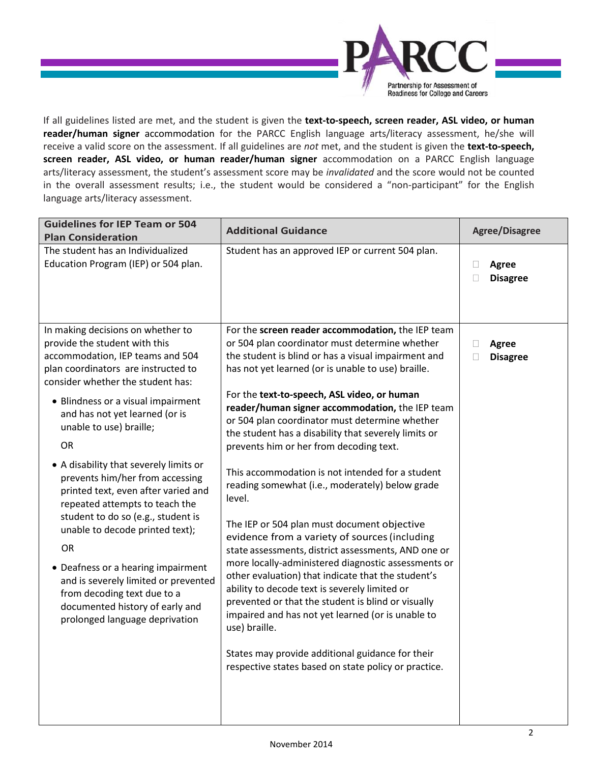

If all guidelines listed are met, and the student is given the **text-to-speech, screen reader, ASL video, or human reader/human signer** accommodation for the PARCC English language arts/literacy assessment, he/she will receive a valid score on the assessment. If all guidelines are *not* met, and the student is given the **text-to-speech, screen reader, ASL video, or human reader/human signer** accommodation on a PARCC English language arts/literacy assessment, the student's assessment score may be *invalidated* and the score would not be counted in the overall assessment results; i.e., the student would be considered a "non-participant" for the English language arts/literacy assessment.

| <b>Guidelines for IEP Team or 504</b><br><b>Plan Consideration</b>                                                                                                                                                                                                                                                                                                                                                                                                                                                                                                                                                                                                                                                  | <b>Additional Guidance</b>                                                                                                                                                                                                                                                                                                                                                                                                                                                                                                                                                                                                                                                                                                                                                                                                                                                                                                                                                                                                                                                                                                                            | <b>Agree/Disagree</b>                          |
|---------------------------------------------------------------------------------------------------------------------------------------------------------------------------------------------------------------------------------------------------------------------------------------------------------------------------------------------------------------------------------------------------------------------------------------------------------------------------------------------------------------------------------------------------------------------------------------------------------------------------------------------------------------------------------------------------------------------|-------------------------------------------------------------------------------------------------------------------------------------------------------------------------------------------------------------------------------------------------------------------------------------------------------------------------------------------------------------------------------------------------------------------------------------------------------------------------------------------------------------------------------------------------------------------------------------------------------------------------------------------------------------------------------------------------------------------------------------------------------------------------------------------------------------------------------------------------------------------------------------------------------------------------------------------------------------------------------------------------------------------------------------------------------------------------------------------------------------------------------------------------------|------------------------------------------------|
| The student has an Individualized<br>Education Program (IEP) or 504 plan.                                                                                                                                                                                                                                                                                                                                                                                                                                                                                                                                                                                                                                           | Student has an approved IEP or current 504 plan.                                                                                                                                                                                                                                                                                                                                                                                                                                                                                                                                                                                                                                                                                                                                                                                                                                                                                                                                                                                                                                                                                                      | <b>Agree</b><br>$\Box$<br><b>Disagree</b><br>П |
| In making decisions on whether to<br>provide the student with this<br>accommodation, IEP teams and 504<br>plan coordinators are instructed to<br>consider whether the student has:<br>• Blindness or a visual impairment<br>and has not yet learned (or is<br>unable to use) braille;<br>OR<br>• A disability that severely limits or<br>prevents him/her from accessing<br>printed text, even after varied and<br>repeated attempts to teach the<br>student to do so (e.g., student is<br>unable to decode printed text);<br>OR.<br>• Deafness or a hearing impairment<br>and is severely limited or prevented<br>from decoding text due to a<br>documented history of early and<br>prolonged language deprivation | For the screen reader accommodation, the IEP team<br>or 504 plan coordinator must determine whether<br>the student is blind or has a visual impairment and<br>has not yet learned (or is unable to use) braille.<br>For the text-to-speech, ASL video, or human<br>reader/human signer accommodation, the IEP team<br>or 504 plan coordinator must determine whether<br>the student has a disability that severely limits or<br>prevents him or her from decoding text.<br>This accommodation is not intended for a student<br>reading somewhat (i.e., moderately) below grade<br>level.<br>The IEP or 504 plan must document objective<br>evidence from a variety of sources (including<br>state assessments, district assessments, AND one or<br>more locally-administered diagnostic assessments or<br>other evaluation) that indicate that the student's<br>ability to decode text is severely limited or<br>prevented or that the student is blind or visually<br>impaired and has not yet learned (or is unable to<br>use) braille.<br>States may provide additional guidance for their<br>respective states based on state policy or practice. | <b>Agree</b><br>⊔<br><b>Disagree</b>           |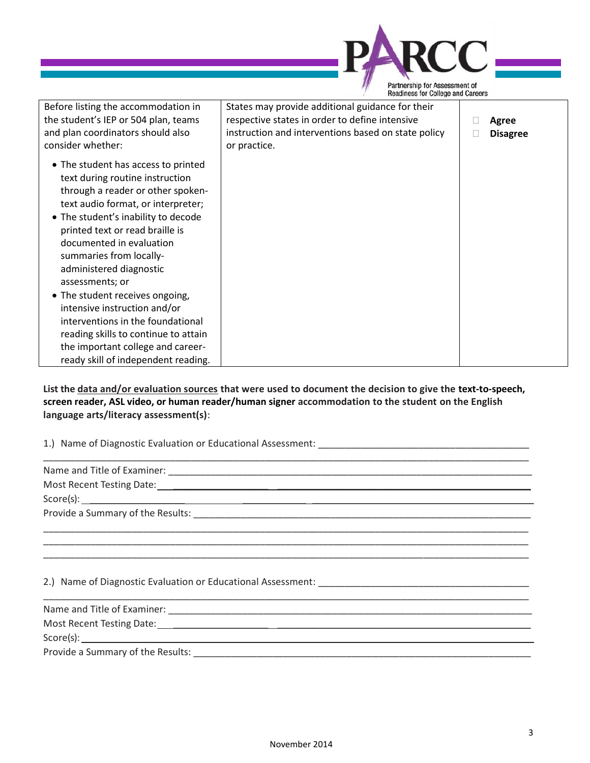

**List the data and/or evaluation sources that were used to document the decision to give the text-to-speech, screen reader, ASL video, or human reader/human signer accommodation to the student on the English language arts/literacy assessment(s)**:

1.) Name of Diagnostic Evaluation or Educational Assessment:

| Name and Title of Examiner:       |  |  |
|-----------------------------------|--|--|
|                                   |  |  |
|                                   |  |  |
| Provide a Summary of the Results: |  |  |

\_\_\_\_\_\_\_\_\_\_\_\_\_\_\_\_\_\_\_\_\_\_\_\_\_\_\_\_\_\_\_\_\_\_\_\_\_\_\_\_\_\_\_\_\_\_\_\_\_\_\_\_\_\_\_\_\_\_\_\_\_\_\_\_\_\_\_\_\_\_\_\_\_\_\_\_\_\_\_\_\_\_\_\_\_\_\_\_\_\_\_\_ \_\_\_\_\_\_\_\_\_\_\_\_\_\_\_\_\_\_\_\_\_\_\_\_\_\_\_\_\_\_\_\_\_\_\_\_\_\_\_\_\_\_\_\_\_\_\_\_\_\_\_\_\_\_\_\_\_\_\_\_\_\_\_\_\_\_\_\_\_\_\_\_\_\_\_\_\_\_\_\_\_\_\_\_\_\_\_\_\_\_\_\_

\_\_\_\_\_\_\_\_\_\_\_\_\_\_\_\_\_\_\_\_\_\_\_\_\_\_\_\_\_\_\_\_\_\_\_\_\_\_\_\_\_\_\_\_\_\_\_\_\_\_\_\_\_\_\_\_\_\_\_\_\_\_\_\_\_\_\_\_\_\_\_\_\_\_\_\_\_\_\_\_\_\_\_\_\_\_\_\_\_\_\_\_

2.) Name of Diagnostic Evaluation or Educational Assessment: \_\_\_\_\_\_\_\_\_\_\_\_\_\_\_\_\_\_\_\_\_\_\_\_\_\_\_\_\_\_\_\_\_\_\_\_\_\_\_\_

| Name and Title of Examiner: |  |
|-----------------------------|--|
|-----------------------------|--|

Most Recent Testing Date: \_\_\_\_\_\_\_\_\_\_\_\_\_\_\_\_\_\_ \_\_\_\_\_\_\_\_\_\_\_\_\_\_\_\_\_\_\_\_\_\_\_\_\_\_\_\_\_\_\_\_\_\_\_\_\_\_\_\_\_\_\_\_\_\_\_\_ Score(s): \_\_\_\_\_ \_\_\_\_\_\_\_\_\_\_\_\_ \_\_\_\_\_\_\_\_\_\_\_\_\_\_\_\_\_\_\_\_\_\_\_\_\_\_\_\_\_\_\_\_\_\_\_\_\_\_\_\_\_\_

Provide a Summary of the Results: **We are all the Seculiar Annual Annual Annual Annual Annual Annual Annual Annu**